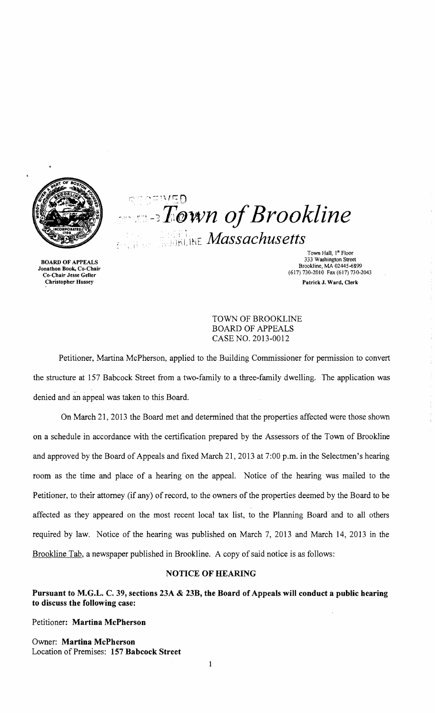

BOARD OF APPEALS Jonathon Book. Co-Chair Co-Chair Jesse Geller Christopher Hussey

 $r \sim \pm W \sqrt{\pi n}$  $T$ <sup>o</sup>wn of Brookline  $\frac{1}{2}$ <sub>Massachusetts</sub>  $\frac{1}{2}$ 

> Town Hall, 1<sup>st</sup> Floor 333 Washington Street Brookline, MA 02445-6899 (617) 730-2010 Fax (617) 730-2043 PatrickJ. Ward, Clerk

TOWN OF BROOKLINE BOARD OF APPEALS CASE NO. 2013-0012

Petitioner, Martina McPherson, applied to the Building Commissioner for permission to convert the structure at 157 Babcock Street from a two-family to a three-family dwelling. The application was denied and an appeal was taken to this Board.

On March 21, 2013 the Board met and detennined that the properties affected were those shown on a schedule in accordance with the certification prepared by the Assessors of the Town of Brookline and approved by the Board of Appeals and fixed March 21,2013 at 7:00 p.m. in the Selectmen's hearing room as the time and place of a hearing on the appeal. Notice of the hearing was mailed to the Petitioner, to their attorney (if any) of record, to the owners of the properties deemed by the Board to be affected as they appeared on the most recent local tax list, to the Planning Board and to all others required by law. Notice of the hearing was published on March 7, 2013 and March 14, 2013 in the Brookline Tab, a newspaper published in Brookline. A copy of said notice is as follows:

# NOTICE OF HEARING

Pursuant to M.G.L. C. 39, sections 23A & 23B, the Board of Appeals will conduct a public hearing to discuss the following case:

Petitioner: Martina McPherson

Owner: Martina McPherson Location of Premises: 157 Babcock Street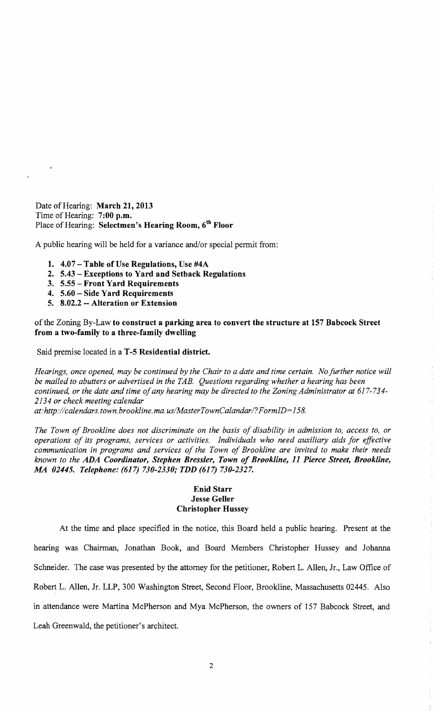Date of Hearing: March 21, 2013 Time of Hearing: 7:00 p.m. Place of Hearing: Selectmen's Hearing Room, 6<sup>th</sup> Floor

A public hearing will be held for a variance and/or special permit from:

- 1. 4.07 Table of Use Regulations, Use #4A
- 2. 5.43 Exceptions to Yard and Setback Regulations
- 3. 5.55 Front Yard Requirements
- 4. 5.60 Side Yard Requirements
- 5. 8.02.2 -- Alteration or Extension

of the Zoning By-Law to construct a parking area to convert the structure at 157 Babcock Street from a two-family to a three-family dwelling

Said premise located in a T-5 Residential district.

*Hearings, once opened, may be continued by the Chair to a date and time certain. No further notice will be mailed to abutters or advertised in the TAB. Questions regarding whether a hearing has been continued, or the date and time ofany hearing may be directed to the Zoning Administrator at 617-734 2134 or check meeting calendar* 

*at:http://calendars.town.brookline. ma. uslMaster Town Calandarl? FormID= 158.* 

*The Town of Brookline does not discriminate on the basis of disability in admission to, access to, or operations of its programs, services or activities. Individuals who need auxiliary aids for effective communication in programs and services of the Town of Brookline are invited to make their needs known to the ADA Coordinator, Stephen Bressler, Town of Brookline,* 11 *Pierce Street, Brookline, .MA 02445. Telephone:* (617) *730-2330; TDD* (617) *730-2327.* 

## Enid Starr Jesse Geller Christopher Hussey

At the time and place specified in the notice, this Board held a public hearing. Present at the hearing was Chairman, Jonathan Book, and Board Members Christopher Hussey and Johanna Schneider. The case was presented by the attorney for the petitioner, Robert L. Allen, Jr., Law Office of Robert L. Allen, Jr. LLP, 300 Washington Street, Second Floor, Brookline, Massachusetts 02445. Also in attendance were Martina McPherson and Mya McPherson, the owners of 157 Babcock Street, and Leah Greenwald, the petitioner's architect.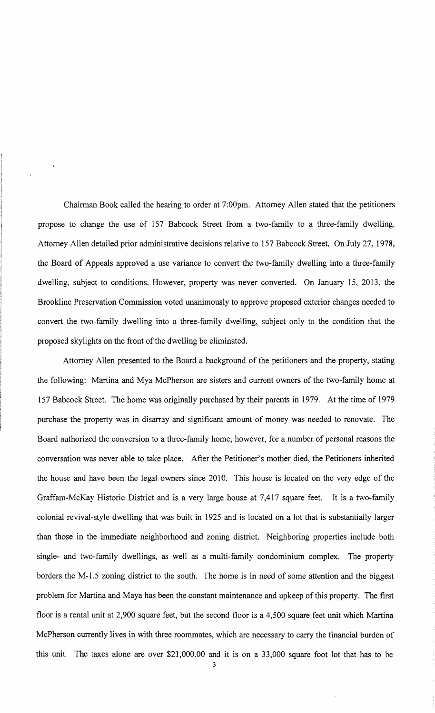Chairman Book called the hearing to order at 7:00pm. Attorney Allen stated that the petitioners propose to change the use of 157 Babcock Street from a two-family to a three-family dwelling. Attorney Allen detailed prior administrative decisions relative to 157 Babcock Street. On July 27, 1978, the Board of Appeals approved a use variance to convert the two-family dwelling into a three-family dwelling, subject to conditions. However, property was never converted. On January 15, 2013, the Brookline Preservation Commission voted unanimously to approve proposed exterior changes needed to convert the two-family dwelling into a three-family dwelling, subject only to the condition that the proposed skylights on the front of the dwelling be eliminated.

Attorney Allen presented to the Board a background of the petitioners and the property, stating the following: Martina and Mya McPherson are sisters and current owners of the two-family home at 157 Babcock Street. The home was originally purchased by their parents in 1979. At the time of 1979 purchase the property was in disarray and significant amount of money was needed to renovate. The Board authorized the conversion to a three-family home, however, for a number of personal reasons the conversation was never able to take place. After the Petitioner's mother died, the Petitioners inherited the house and have been the legal owners since 2010. This house is located on the very edge of the Graffam-McKay Historic District and is a very large house at 7,417 square feet. It is a two-family colonial revival-style dwelling that was built in 1925 and is located on a lot that is substantially larger than those in the immediate neighborhood and zoning district. Neighboring properties include both single- and two-family dwellings, as well as a multi-family condominium complex. The property borders the M-1.5 zoning district to the south. The home is in need of some attention and the biggest problem for Martina and Maya has been the constant maintenance and upkeep of this property. The first floor is a rental unit at 2,900 square feet, but the second floor is a 4,500 square feet unit which Martina McPherson currently lives in with three roommates, which are necessary to carry the financial burden of this unit. The taxes alone are over \$21,000.00 and it is on a 33,000 square foot lot that has to be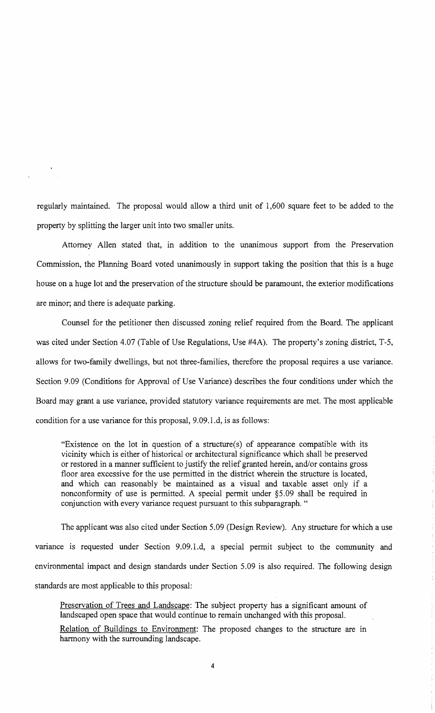regularly maintained. The proposal would allow a third unit of 1,600 square feet to be added to the property by splitting the larger unit into two smaller units.

Attorney Allen stated that, in addition to the unanimous support from the Preservation Commission, the Planning Board voted unanimously in support taking the position that this is a huge house on a huge lot and the preservation of the structure should be paramount, the exterior modifications are minor; and there is adequate parking.

Counsel for the petitioner then discussed zoning relief required from the Board. The applicant was cited under Section 4.07 (Table of Use Regulations, Use #4A). The property's zoning district, T-5, allows for two-family dwellings, but not three-families, therefore the proposal requires a use variance. Section 9.09 (Conditions for Approval of Use Variance) describes the four conditions under which the Board may grant a use variance, provided statutory variance requirements are met. The most applicable condition for a use variance for this proposal, 9.09.1.d, is as follows:

"Existence on the lot in question of a structure(s) of appearance compatible with its vicinity which is either of historical or architectural significance which shall be preserved or restored in a manner sufficient to justify the relief granted herein, and/or contains gross floor area excessive for the use permitted in the district wherein the structure is located, and which can reasonably be maintained as a visual and taxable asset only if a nonconformity of use is permitted. A special permit under §5.09 shall be required in conjunction with every variance request pursuant to this subparagraph. "

The applicant was also cited under Section 5.09 (Design Review). Any structure for which a use variance is requested under Section 9.09.l.d, a special permit subject to the community and environmental impact and design standards under Section 5.09 is also required. The following design standards are most applicable to this proposal:

Preservation of Trees and Landscape: The subject property has a significant amount of landscaped open space that would continue to remain unchanged with this proposal.

Relation of Buildings to Environment: The proposed changes to the structure are in harmony with the surrounding landscape.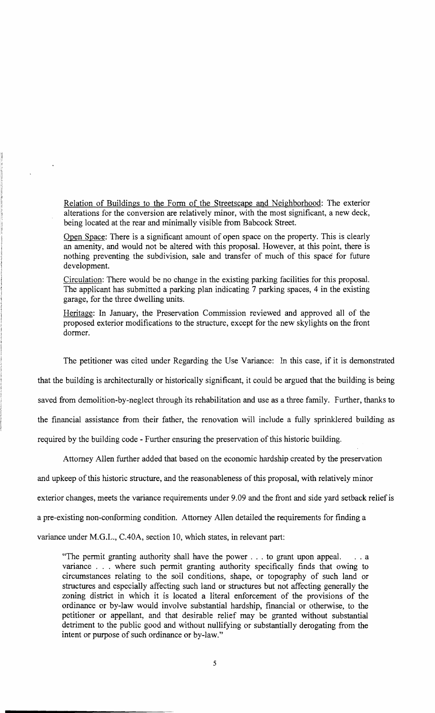Relation of Buildings to the Form of the Streetscape and Neighborhood: The exterior alterations for the conversion are relatively minor, with the most significant, a new deck, being located at the rear and minimally visible from Babcock Street.

Open Space: There is a significant amount of open space on the property. This is clearly an amenity, and would not be altered with this proposal. However, at this point, there is nothing preventing the subdivision, sale and transfer of much of this space for future development.

Circulation: There would be no change in the existing parking facilities for this proposal. The applicant has submitted a parking plan indicating 7 parking spaces, 4 in the existing garage, for the three dwelling units.

Heritage: In January, the Preservation Commission reviewed and approved all of the proposed exterior modifications to the structure, except for the new skylights on the front dormer.

The petitioner was cited under Regarding the Use Variance: In this case, if it is demonstrated

that the building is architecturally or historically significant, it could be argued that the building is being

saved from demolition-by-neglect through its rehabilitation and use as a three family. Further, thanks to

the financial assistance from their father, the renovation will include a fully sprinklered building as

required by the building code - Further ensuring the preservation of this historic building.

Attorney Allen further added that based on the economic hardship created by the preservation

and upkeep of this historic structure, and the reasonableness of this proposal, with relatively minor

exterior changes, meets the variance requirements under 9.09 and the front and side yard setback relief is

a pre-existing non-conforming condition. Attorney Allen detailed the requirements for finding a

variance under M.G.L., C.40A, section 10, which states, in relevant part:

"The permit granting authority shall have the power . . . to grant upon appeal. .. a variance . . . where such permit granting authority specifically finds that owing to circumstances relating to the soil conditions, shape, or topography of such land or structures and especially affecting such land or structures but not affecting generally the zoning district in which it is located a literal enforcement of the provisions of the ordinance or by-law would involve substantial hardship, financial or otherwise, to the petitioner or appellant, and that desirable relief may be granted without substantial detriment to the public good and without nullifying or substantially derogating from the intent or purpose of such ordinance or by-law."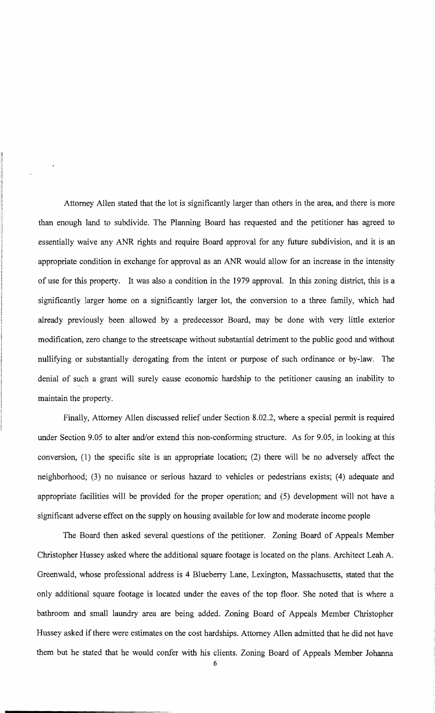Attorney Allen stated that the lot is significantly larger than others in the area, and there is more than enough land to subdivide. The Planning Board has requested and the petitioner has agreed to essentially waive any ANR rights and require Board approval for any future subdivision, and it is an appropriate condition in exchange for approval as an ANR would allow for an increase in the intensity of use for this property. It was also a condition in the 1979 approval. In this zoning district, this is a significantly larger home on a significantly larger lot, the conversion to a three family, which had already previously been allowed by a predecessor Board, may be done with very little exterior modification, zero change to the streetscape without substantial detriment to the public good and without nullifying or substantially derogating from the intent or purpose of such ordinance or by-law. The denial of such a grant will surely cause economic hardship to the petitioner causing an inability to maintain the property.

Finally, Attorney Allen discussed relief under Section 8.02.2, where a special permit is required under Section 9.05 to alter and/or extend this non-conforming structure. As for 9.05, in looking at this conversion, (1) the specific site is an appropriate location; (2) there will be no adversely affect the neighborhood; (3) no nuisance or serious hazard to vehicles or pedestrians exists; (4) adequate and appropriate facilities will be provided for the proper operation; and (5) development will not have a significant adverse effect on the supply on housing available for low and moderate income people

The Board then asked several questions of the petitioner. Zoning Board of Appeals Member Christopher Hussey asked where the additional square footage is located on the plans. Architect Leah A. Greenwald, whose professional address is 4 Blueberry Lane, Lexington, Massachusetts, stated that the only additional square footage is located under the eaves of the top floor. She noted that is where a bathroom and small laundry area are being added. Zoning Board of Appeals Member Christopher Hussey asked if there were estimates on the cost hardships. Attorney Allen admitted that he did not have them but he stated that he would confer with his clients. Zoning Board of Appeals Member Johanna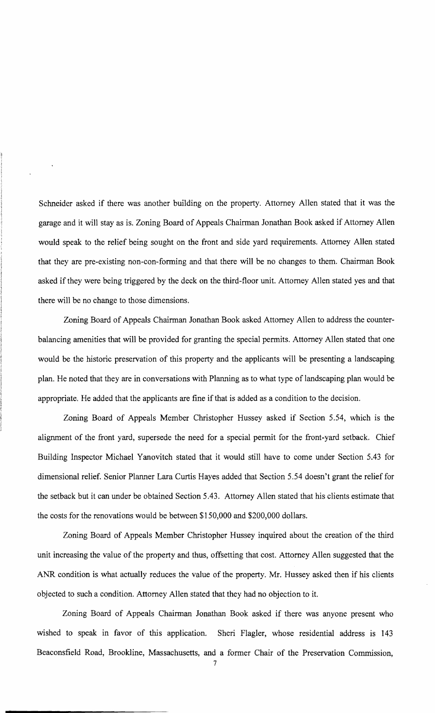Schneider asked if there was another building on the property. Attorney Allen stated that it was the garage and it will stay as is. Zoning Board of Appeals Chairman Jonathan Book asked if Attorney Allen would speak to the relief being sought on the front and side yard requirements. Attorney Allen stated that they are pre-existing non-con-forming and that there will be no changes to them. Chairman Book asked if they were being triggered by the deck on the third-floor unit. Attorney Allen stated yes and that there will be no change to those dimensions.

Zoning Board of Appeals Chairman Jonathan Book asked Attorney Allen to address the counterbalancing amenities that will be provided for granting the special permits. Attorney Allen stated that one would be the historic preservation of this property and the applicants will be presenting a landscaping plan. He noted that they are in conversations with Planning as to what type of landscaping plan would be appropriate. He added that the applicants are fine if that is added as a condition to the decision.

Zoning Board of Appeals Member Christopher Hussey asked if Section 5.54, which is the alignment of the front yard, supersede the need for a special permit for the front-yard setback. Chief Building Inspector Michael Yanovitch stated that it would still have to come under Section 5.43 for dimensional relief. Senior Planner Lara Curtis Hayes added that Section 5.54 doesn't grant the relief for the setback but it can under be obtained Section 5.43. Attorney Allen stated that his clients estimate that the costs for the renovations would be between \$150,000 and \$200,000 dollars.

Zoning Board of Appeals Member Christopher Hussey inquired about the creation of the third unit increasing the value of the property and thus, offsetting that cost. Attorney Allen suggested that the ANR condition is what actually reduces the value of the property. Mr. Hussey asked then if his clients objected to such a condition. Attorney Allen stated that they had no objection to it.

Zoning Board of Appeals Chairman Jonathan Book asked if there was anyone present who wished to speak in favor of this application. Sheri Flagler, whose residential address is 143 Beaconsfield Road, Brookline, Massachusetts, and a former Chair of the Preservation Commission,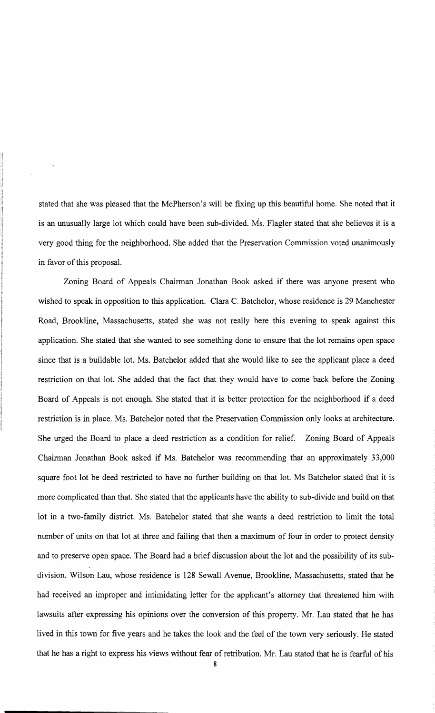stated that she was pleased that the McPherson's will be fixing up this beautiful home. She noted that it is an unusually large lot which could have been sub-divided. Ms. Flagler stated that she believes it is a very good thing for the neighborhood. She added that the Preservation Commission voted unanimously in favor of this proposal.

Zoning Board of Appeals Chairman Jonathan Book asked if there was anyone present who wished to speak in opposition to this application. Clara C. Batchelor, whose residence is 29 Manchester Road, Brookline, Massachusetts, stated she was not really here this evening to speak against this application. She stated that she wanted to see something done to ensure that the lot remains open space since that is a buildable lot. Ms. Batchelor added that she would like to see the applicant place a deed restriction on that lot. She added that the fact that they would have to come back before the Zoning Board of Appeals is not enough. She stated that it is better protection for the neighborhood if a deed restriction is in place. Ms. Batchelor noted that the Preservation Commission only looks at architecture. She urged the Board to place a deed restriction as a condition for relief. Zoning Board of Appeals Chairman Jonathan Book asked if Ms. Batchelor was recommending that an approximately 33,000 square foot lot be deed restricted to have no further building on that lot. Ms Batchelor stated that it is more complicated than that. She stated that the applicants have the ability to sub-divide and build on that lot in a two-family district. Ms. Batchelor stated that she wants a deed restriction to limit the total number of units on that lot at three and failing that then a maximum of four in order to protect density and to preserve open space. The Board had a brief discussion about the lot and the possibility of its subdivision. Wilson Lau, whose residence is 128 Sewall Avenue, Brookline, Massachusetts, stated that he had received an improper and intimidating letter for the applicant's attorney that threatened him with lawsuits after expressing his opinions over the conversion of this property. Mr. Lau stated that he has lived in this town for five years and he takes the look and the feel of the town very seriously. He stated that he has a right to express his views without fear of retribution. Mr. Lau stated that he is fearful of his 8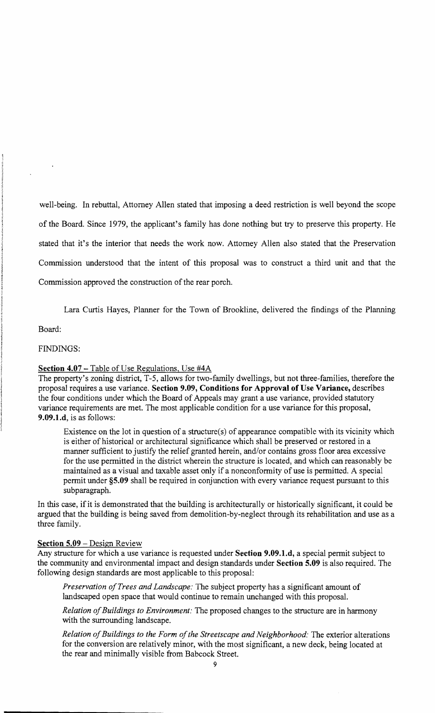well-being. In rebuttal, Attorney Allen stated that imposing a deed restriction is well beyond the scope of the Board. Since 1979, the applicant's family has done nothing but try to preserve this property. He stated that it's the interior that needs the work now. Attorney Allen also stated that the Preservation Commission understood that the intent of this proposal was to construct a third unit and that the Commission approved the construction of the rear porch.

Lara Curtis Hayes, Planner for the Town of Brookline, delivered the findings of the Planning

Board:

## FINDINGS:

#### **Section 4.07 – Table of Use Regulations, Use #4A**

The property's zoning district, T-5, allows for two-family dwellings, but not three-families, therefore the proposal requires a use variance. **Section 9.09, Conditions for Approval** of Use **Variance,** describes the four conditions under which the Board of Appeals may grant a use variance, provided statutory variance requirements are met. The most applicable condition for a use variance for this proposal, **9.09.1.d,** is as follows:

Existence on the lot in question of a structure(s) of appearance compatible with its vicinity which is either of historical or architectural significance which shall be preserved or restored in a manner sufficient to justify the relief granted herein, and/or contains gross floor area excessive for the use pennitted in the district wherein the structure is located, and which can reasonably be maintained as a visual and taxable asset only if a nonconformity of use is permitted. A special permit under **§5.09** shall be required in conjunction with every variance request pursuant to this subparagraph.

In this case, if it is demonstrated that the building is architecturally or historically significant, it could be argued that the building is being saved from demolition-by-neglect through its rehabilitation and use as a three family.

## **Section 5.09** - Design Review

Any structure for which a use variance is requested under **Section 9.09.1.d,** a special permit subject to the community and environmental impact and design standards under **Section 5.09** is also required. The following design standards are most applicable to this proposal:

*Preservation ofTrees and Landscape:* The subject property has a significant amount of landscaped open space that would continue to remain unchanged with this proposaL

*Relation ofBuildings to Environment:* The proposed changes to the structure are in harmony with the surrounding landscape.

Relation of Buildings to the Form of the Streetscape and Neighborhood: The exterior alterations for the conversion are relatively minor, with the most significant, a new deck, being located at the rear and minimally visible from Babcock Street.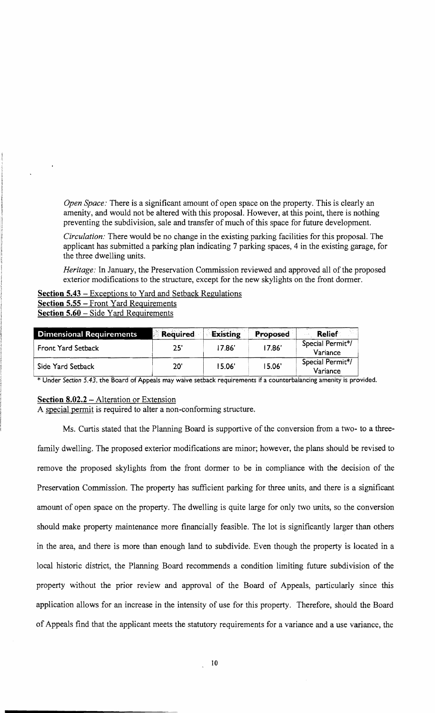*Open Space:* There is a significant amount of open space on the property. This is clearly an amenity, and would not be altered with this proposal. However, at this point, there is nothing preventing the subdivision, sale and transfer of much of this space for future development.

*Circulation:* There would be no change in the existing parking facilities for this proposal. The applicant has submitted a parking plan indicating 7 parking spaces, 4 in the existing garage, for the three dwelling units.

*Heritage:* In January, the Preservation Commission reviewed and approved all of the proposed exterior modifications to the structure, except for the new skylights on the front dormer.

Section 5.43 – Exceptions to Yard and Setback Regulations Section 5.55 - Front Yard Requirements Section 5.60 - Side Yard Requirements

| <b>Dimensional Requirements</b> | <b>Required</b> | Existing | Proposed | <b>Relief</b>                |
|---------------------------------|-----------------|----------|----------|------------------------------|
| Front Yard Setback              | 25'             | 17.86'   | 17.86'   | Special Permit*/<br>Variance |
| Side Yard Setback               | 20'             | 15.06'   | 15.06'   | Special Permit*/<br>Variance |

\* Under Section 5.43, the Board of Appeals may waive setback requirements if a counterbalancing amenity is provided.

## Section 8.02.2 - Alteration or Extension

A special permit is required to alter a non-conforming structure.

Ms. Curtis stated that the Planning Board is supportive of the conversion from a two- to a threefamily dwelling. The proposed exterior modifications are minor; however, the plans should be revised to remove the proposed skylights from the front dormer to be in compliance with the decision of the Preservation Commission. The property has sufficient parking for three units, and there is a significant amount of open space on the property. The dwelling is quite large for only two units, so the conversion should make property maintenance more financially feasible. The lot is significantly larger than others in the area, and there is more than enough land to subdivide. Even though the property is located in a local historic district, the Planning Board recommends a condition limiting future subdivision of the property without the prior review and approval of the Board of Appeals, particularly since this application allows for an increase in the intensity of use for this property. Therefore, should the Board of Appeals find that the applicant meets the statutory requirements for a variance and a use variance, the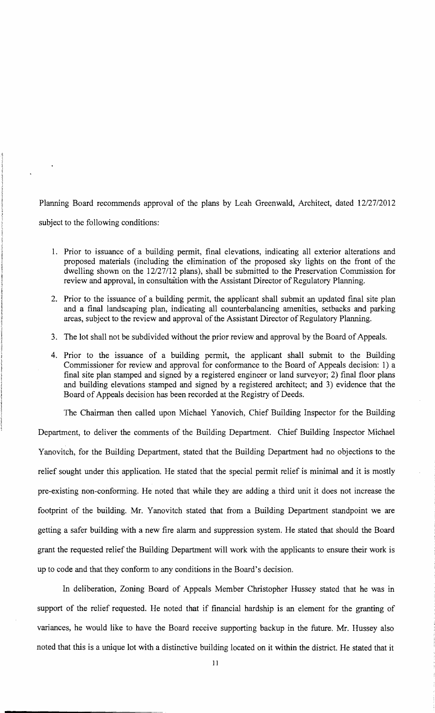Planning Board recommends approval of the plans by Leah Greenwald, Architect, dated 12/27/2012 subject to the following conditions:

- 1. Prior to issuance of a building permit, final elevations, indicating all exterior alterations and proposed materials (including the elimination of the proposed sky lights on the front of the dwelling shown on the 12/27112 plans), shall be submitted to the Preservation Commission for review and approval, in consultation with the Assistant Director of Regulatory Planning.
- 2. Prior to the issuance of a building permit, the applicant shall submit an updated final site plan and a final landscaping plan, indicating all counterbalancing amenities, setbacks and parking areas, subject to the review and approval of the Assistant Director of Regulatory Planning.
- 3. The lot shall not be subdivided without the prior review and approval by the Board of Appeals.
- 4. Prior to the issuance of a building permit, the applicant shall submit to the Building Commissioner for review and approval for conformance to the Board of Appeals decision: 1) a final site plan stamped and signed by a registered engineer or land surveyor; 2) final floor plans and building elevations stamped and signed by a registered architect; and 3) evidence that the Board of Appeals decision has been recorded at the Registry of Deeds.

The Chairman then called upon Michael Yanovich, Chief Building Inspector for the Building

Department, to deliver the comments of the Building Department. Chief Building Inspector Michael Yanovitch, for the Building Department, stated that the Building Department had no objections to the relief sought under this application. He stated that the special permit relief is minimal and it is mostly pre-existing non-conforming. He noted that while they are adding a third unit it does not increase the footprint of the building. Mr. Yanovitch stated that from a Building Department standpoint we are getting a safer building with a new fire alarm and suppression system. He stated that should the Board grant the requested relief the Building Department will work with the applicants to ensure their work is up to code and that they conform to any conditions in the Board's decision.

In deliberation, Zoning Board of Appeals Member Christopher Hussey stated that he was in support of the relief requested. He noted that if financial hardship is an element for the granting of variances, he would like to have the Board receive supporting backup in the future. Mr. Hussey also noted that this is a unique lot with a distinctive building located on it within the district. He stated that it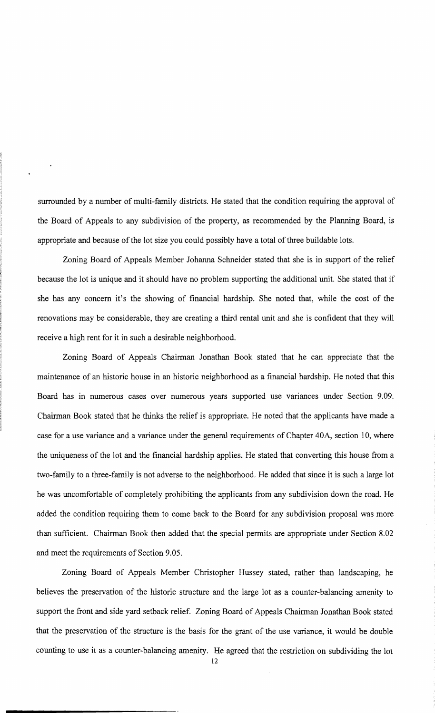surrounded by a number of multi-family districts. He stated that the condition requiring the approval of the Board of Appeals to any subdivision of the property, as recommended by the Planning Board, is appropriate and because of the lot size you could possibly have a total of three buildable lots.

Zoning Board of Appeals Member Johanna Schneider stated that she is in support of the relief because the lot is unique and it should have no problem supporting the additional unit. She stated that if she has any concern it's the showing of financial hardship. She noted that, while the cost of the renovations may be considerable, they are creating a third rental unit and she is confident that they will receive a high rent for it in such a desirable neighborhood.

Zoning Board of Appeals Chairman Jonathan Book stated that he can appreciate that the maintenance of an historic house in an historic neighborhood as a financial hardship. He noted that this Board has in numerous cases over numerous years supported use variances under Section 9.09. Chairman Book stated that he thinks the relief is appropriate. He noted that the applicants have made a case for a use variance and a variance under the general requirements of Chapter 40A, section 10, where the uniqueness of the lot and the financial hardship applies. He stated that converting this house from a two-family to a three-family is not adverse to the neighborhood. He added that since it is such a large lot he was uncomfortable of completely prohibiting the applicants from any subdivision down the road. He added the condition requiring them to come back to the Board for any subdivision proposal was more than sufficient. Chairman Book then added that the special permits are appropriate under Section 8.02 and meet the requirements of Section 9.05.

Zoning Board of Appeals Member Christopher Hussey stated, rather than landscaping, he believes the preservation of the historic structure and the large lot as a counter-balancing amenity to support the front and side yard setback relief. Zoning Board of Appeals Chairman Jonathan Book stated that the preservation of the structure is the basis for the grant of the use variance, it would be double counting to use it as a counter-balancing amenity. He agreed that the restriction on subdividing the lot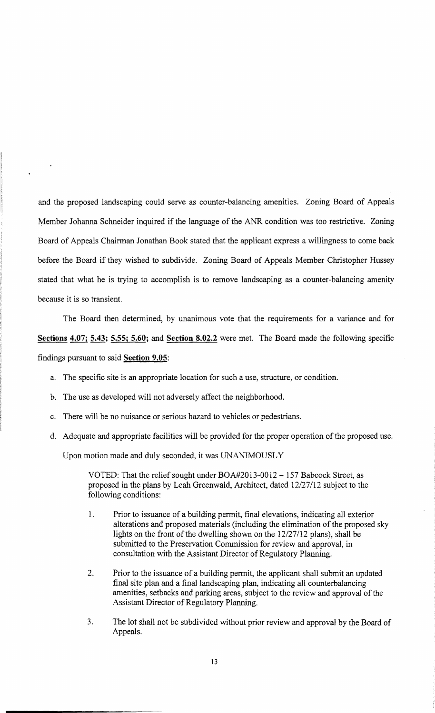and the proposed landscaping could serve as counter-balancing amenities. Zoning Board of Appeals Member Johanna Schneider inquired if the language of the ANR condition was too restrictive. Zoning Board of Appeals Chairman Jonathan Book stated that the applicant express a willingness to come back before the Board if they wished to subdivide. Zoning Board of Appeals Member Christopher Hussey stated that what he is trying to accomplish is to remove landscaping as a counter-balancing amenity because it is so transient.

The Board then determined, by unanimous vote that the requirements for a variance and for **Sections 4.07; 5.43; 5.55; 5.60; and Section 8.02.2** were met. The Board made the following specific findings pursuant to said **Section 9.05:** 

- a. The specific site is an appropriate location for such a use, structure, or condition.
- b. The use as developed will not adversely affect the neighborhood.
- c. There will be no nuisance or serious hazard to vehicles or pedestrians.
- d. Adequate and appropriate facilities will be provided for the proper operation of the proposed use.

Upon motion made and duly seconded, it was UNANIMOUSLY

VOTED: That the relief sought under BOA#2013-0012 - 157 Babcock Street, as proposed in the plans by Leah Greenwald, Architect, dated 12/27112 subject to the following conditions:

- 1. Prior to issuance of a building permit, final elevations, indicating all exterior alterations and proposed materials (including the elimination of the proposed sky lights on the front of the dwelling shown on the  $12/27/12$  plans), shall be submitted to the Preservation Commission for review and approval, in consultation with the Assistant Director of Regulatory Planning.
- 2. Prior to the issuance of a building permit, the applicant shall submit an updated final site plan and a final landscaping plan, indicating all counterbalancing amenities, setbacks and parking areas, subject to the review and approval of the Assistant Director of Regulatory Planning.
- 3. The lot shall not be subdivided without prior review and approval by the Board of Appeals.